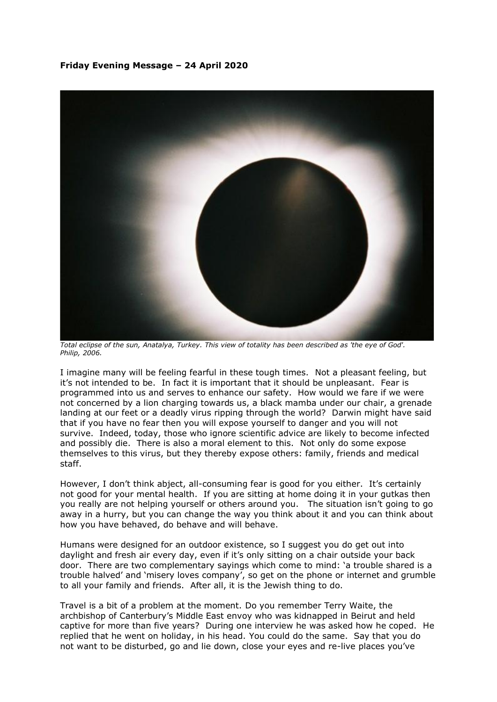## **Friday Evening Message – 24 April 2020**



*Total eclipse of the sun, Anatalya, Turkey. This view of totality has been described as 'the eye of God'. Philip, 2006.*

I imagine many will be feeling fearful in these tough times. Not a pleasant feeling, but it's not intended to be. In fact it is important that it should be unpleasant. Fear is programmed into us and serves to enhance our safety. How would we fare if we were not concerned by a lion charging towards us, a black mamba under our chair, a grenade landing at our feet or a deadly virus ripping through the world? Darwin might have said that if you have no fear then you will expose yourself to danger and you will not survive. Indeed, today, those who ignore scientific advice are likely to become infected and possibly die. There is also a moral element to this. Not only do some expose themselves to this virus, but they thereby expose others: family, friends and medical staff.

However, I don't think abject, all-consuming fear is good for you either. It's certainly not good for your mental health. If you are sitting at home doing it in your gutkas then you really are not helping yourself or others around you. The situation isn't going to go away in a hurry, but you can change the way you think about it and you can think about how you have behaved, do behave and will behave.

Humans were designed for an outdoor existence, so I suggest you do get out into daylight and fresh air every day, even if it's only sitting on a chair outside your back door. There are two complementary sayings which come to mind: 'a trouble shared is a trouble halved' and 'misery loves company', so get on the phone or internet and grumble to all your family and friends. After all, it is the Jewish thing to do.

Travel is a bit of a problem at the moment. Do you remember Terry Waite, the archbishop of Canterbury's Middle East envoy who was kidnapped in Beirut and held captive for more than five years? During one interview he was asked how he coped. He replied that he went on holiday, in his head. You could do the same. Say that you do not want to be disturbed, go and lie down, close your eyes and re-live places you've